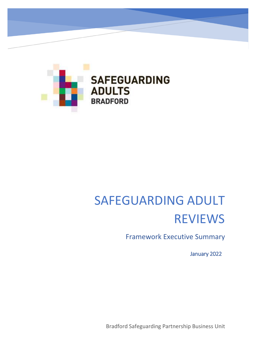

# SAFEGUARDING ADULT REVIEWS

Framework Executive Summary

January 2022

Bradford Safeguarding Partnership Business Unit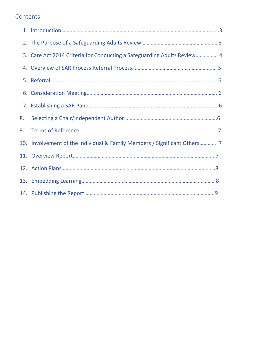## **Contents**

|    | 3. Care Act 2014 Criteria for Conducting a Safeguarding Adults Review 4   |
|----|---------------------------------------------------------------------------|
|    |                                                                           |
|    |                                                                           |
|    |                                                                           |
|    |                                                                           |
| 8. |                                                                           |
| 9. |                                                                           |
|    | 10. Involvement of the Individual & Family Members / Significant Others 7 |
|    |                                                                           |
|    |                                                                           |
|    |                                                                           |
|    |                                                                           |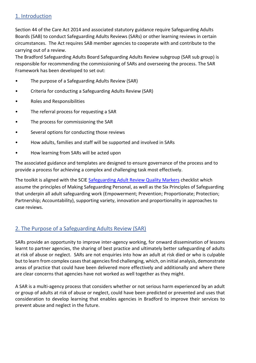#### 1. Introduction

Section 44 of the Care Act 2014 and associated statutory guidance require Safeguarding Adults Boards (SAB) to conduct Safeguarding Adults Reviews (SARs) or other learning reviews in certain circumstances. The Act requires SAB member agencies to cooperate with and contribute to the carrying out of a review.

The Bradford Safeguarding Adults Board Safeguarding Adults Review subgroup (SAR sub group) is responsible for recommending the commissioning of SARs and overseeing the process. The SAR Framework has been developed to set out:

- The purpose of a Safeguarding Adults Review (SAR)
- Criteria for conducting a Safeguarding Adults Review (SAR)
- Roles and Responsibilities
- The referral process for requesting a SAR
- The process for commissioning the SAR
- Several options for conducting those reviews
- How adults, families and staff will be supported and involved in SARs
- How learning from SARs will be acted upon

The associated guidance and templates are designed to ensure governance of the process and to provide a process for achieving a complex and challenging task most effectively.

The toolkit is aligned with the SCIE [Safeguarding Adult Review Quality Markers](https://www.scie.org.uk/safeguarding/children/case-reviews/quality-markers) checklist which assume the principles of Making Safeguarding Personal, as well as the Six Principles of Safeguarding that underpin all adult safeguarding work (Empowerment; Prevention; Proportionate; Protection; Partnership; Accountability), supporting variety, innovation and proportionality in approaches to case reviews.

## 2. The Purpose of a Safeguarding Adults Review (SAR)

SARs provide an opportunity to improve inter-agency working, for onward dissemination of lessons learnt to partner agencies, the sharing of best practice and ultimately better safeguarding of adults at risk of abuse or neglect. SARs are not enquiries into how an adult at risk died or who is culpable but to learn from complex cases that agencies find challenging, which, on initial analysis, demonstrate areas of practice that could have been delivered more effectively and additionally and where there are clear concerns that agencies have not worked as well together as they might.

A SAR is a multi-agency process that considers whether or not serious harm experienced by an adult or group of adults at risk of abuse or neglect, could have been predicted or prevented and uses that consideration to develop learning that enables agencies in Bradford to improve their services to prevent abuse and neglect in the future.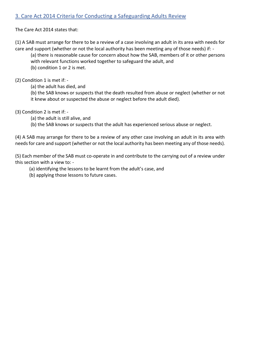## 3. Care Act 2014 Criteria for Conducting a Safeguarding Adults Review

The Care Act 2014 states that:

(1) A SAB must arrange for there to be a review of a case involving an adult in its area with needs for care and support (whether or not the local authority has been meeting any of those needs) if: -

(a) there is reasonable cause for concern about how the SAB, members of it or other persons with relevant functions worked together to safeguard the adult, and (b) condition 1 or 2 is met.

(2) Condition 1 is met if: -

(a) the adult has died, and

(b) the SAB knows or suspects that the death resulted from abuse or neglect (whether or not it knew about or suspected the abuse or neglect before the adult died).

(3) Condition 2 is met if: -

(a) the adult is still alive, and

(b) the SAB knows or suspects that the adult has experienced serious abuse or neglect.

(4) A SAB may arrange for there to be a review of any other case involving an adult in its area with needs for care and support (whether or not the local authority has been meeting any of those needs).

(5) Each member of the SAB must co-operate in and contribute to the carrying out of a review under this section with a view to: -

(a) identifying the lessons to be learnt from the adult's case, and

(b) applying those lessons to future cases.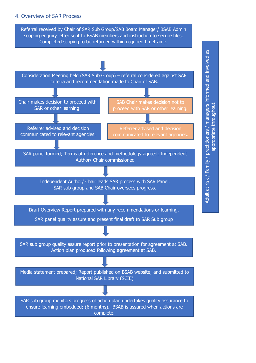#### 4. Overview of SAR Process

scoping enquiry letter sent to BSAB members and instruction to secure files.<br>Consultated accriting to he unturned within us which the effects Referral received by Chair of SAR Sub Group/SAB Board Manager/ BSAB Admin Completed scoping to be returned within required timeframe.

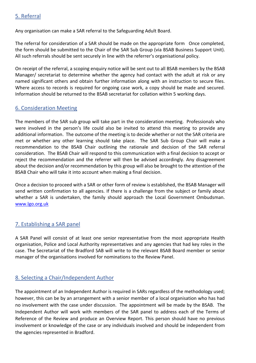## 5. Referral

Any organisation can make a SAR referral to the Safeguarding Adult Board.

The referral for consideration of a SAR should be made on the appropriate form Once completed, the form should be submitted to the Chair of the SAR Sub Group (via BSAB Business Support Unit). All such referrals should be sent securely in line with the referrer's organisational policy.

On receipt of the referral, a scoping enquiry notice will be sent out to all BSAB members by the BSAB Manager/ secretariat to determine whether the agency had contact with the adult at risk or any named significant others and obtain further information along with an instruction to secure files. Where access to records is required for ongoing case work, a copy should be made and secured. Information should be returned to the BSAB secretariat for collation within 5 working days.

#### 6. Consideration Meeting

The members of the SAR sub group will take part in the consideration meeting. Professionals who were involved in the person's life could also be invited to attend this meeting to provide any additional information. The outcome of the meeting is to decide whether or not the SAR criteria are met or whether any other learning should take place. The SAR Sub Group Chair will make a recommendation to the BSAB Chair outlining the rationale and decision of the SAR referral consideration. The BSAB Chair will respond to this communication with a final decision to accept or reject the recommendation and the referrer will then be advised accordingly. Any disagreement about the decision and/or recommendation by this group will also be brought to the attention of the BSAB Chair who will take it into account when making a final decision.

Once a decision to proceed with a SAR or other form of review is established, the BSAB Manager will send written confirmation to all agencies. If there is a challenge from the subject or family about whether a SAR is undertaken, the family should approach the Local Government Ombudsman. [www.lgo.org.uk](http://www.lgo.org.uk/) 

#### 7. Establishing a SAR panel

A SAR Panel will consist of at least one senior representative from the most appropriate Health organisation, Police and Local Authority representatives and any agencies that had key roles in the case. The Secretariat of the Bradford SAB will write to the relevant BSAB Board member or senior manager of the organisations involved for nominations to the Review Panel.

## 8. Selecting a Chair/Independent Author

The appointment of an Independent Author is required in SARs regardless of the methodology used; however, this can be by an arrangement with a senior member of a local organisation who has had no involvement with the case under discussion. The appointment will be made by the BSAB. The Independent Author will work with members of the SAR panel to address each of the Terms of Reference of the Review and produce an Overview Report. This person should have no previous involvement or knowledge of the case or any individuals involved and should be independent from the agencies represented in Bradford.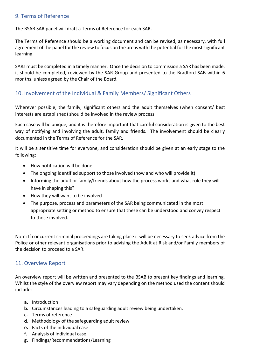## 9. Terms of Reference

The BSAB SAR panel will draft a Terms of Reference for each SAR.

The Terms of Reference should be a working document and can be revised, as necessary, with full agreement of the panel for the review to focus on the areas with the potential for the most significant learning.

SARs must be completed in a timely manner. Once the decision to commission a SAR has been made, it should be completed, reviewed by the SAR Group and presented to the Bradford SAB within 6 months, unless agreed by the Chair of the Board.

#### 10. Involvement of the Individual & Family Members/ Significant Others

Wherever possible, the family, significant others and the adult themselves (when consent/ best interests are established) should be involved in the review process

Each case will be unique, and it is therefore important that careful consideration is given to the best way of notifying and involving the adult, family and friends. The involvement should be clearly documented in the Terms of Reference for the SAR.

It will be a sensitive time for everyone, and consideration should be given at an early stage to the following:

- How notification will be done
- The ongoing identified support to those involved (how and who will provide it)
- Informing the adult or family/friends about how the process works and what role they will have in shaping this?
- How they will want to be involved
- The purpose, process and parameters of the SAR being communicated in the most appropriate setting or method to ensure that these can be understood and convey respect to those involved.

Note: If concurrent criminal proceedings are taking place it will be necessary to seek advice from the Police or other relevant organisations prior to advising the Adult at Risk and/or Family members of the decision to proceed to a SAR.

#### 11. Overview Report

An overview report will be written and presented to the BSAB to present key findings and learning. Whilst the style of the overview report may vary depending on the method used the content should include: -

- **a.** Introduction
- **b.** Circumstances leading to a safeguarding adult review being undertaken.
- **c.** Terms of reference
- **d.** Methodology of the safeguarding adult review
- **e.** Facts of the individual case
- **f.** Analysis of individual case
- **g.** Findings/Recommendations/Learning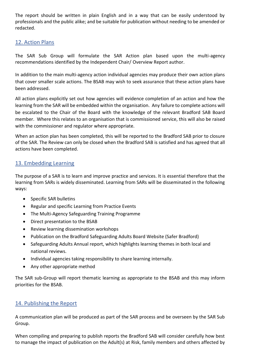The report should be written in plain English and in a way that can be easily understood by professionals and the public alike; and be suitable for publication without needing to be amended or redacted.

## 12. Action Plans

The SAR Sub Group will formulate the SAR Action plan based upon the multi-agency recommendations identified by the Independent Chair/ Overview Report author.

In addition to the main multi-agency action individual agencies may produce their own action plans that cover smaller scale actions. The BSAB may wish to seek assurance that these action plans have been addressed.

All action plans explicitly set out how agencies will evidence completion of an action and how the learning from the SAR will be embedded within the organisation. Any failure to complete actions will be escalated to the Chair of the Board with the knowledge of the relevant Bradford SAB Board member. Where this relates to an organisation that is commissioned service, this will also be raised with the commissioner and regulator where appropriate.

When an action plan has been completed, this will be reported to the Bradford SAB prior to closure of the SAR. The Review can only be closed when the Bradford SAB is satisfied and has agreed that all actions have been completed.

#### 13. Embedding Learning

The purpose of a SAR is to learn and improve practice and services. It is essential therefore that the learning from SARs is widely disseminated. Learning from SARs will be disseminated in the following ways:

- Specific SAR bulletins
- Regular and specific Learning from Practice Events
- The Multi-Agency Safeguarding Training Programme
- Direct presentation to the BSAB
- Review learning dissemination workshops
- Publication on the Bradford Safeguarding Adults Board Website (Safer Bradford)
- Safeguarding Adults Annual report, which highlights learning themes in both local and national reviews.
- Individual agencies taking responsibility to share learning internally.
- Any other appropriate method

The SAR sub-Group will report thematic learning as appropriate to the BSAB and this may inform priorities for the BSAB.

#### <span id="page-7-0"></span>14. [Publishing the Report](#page-7-0)

A communication plan will be produced as part of the SAR process and be overseen by the SAR Sub Group.

When compiling and preparing to publish reports the Bradford SAB will consider carefully how best to manage the impact of publication on the Adult(s) at Risk, family members and others affected by